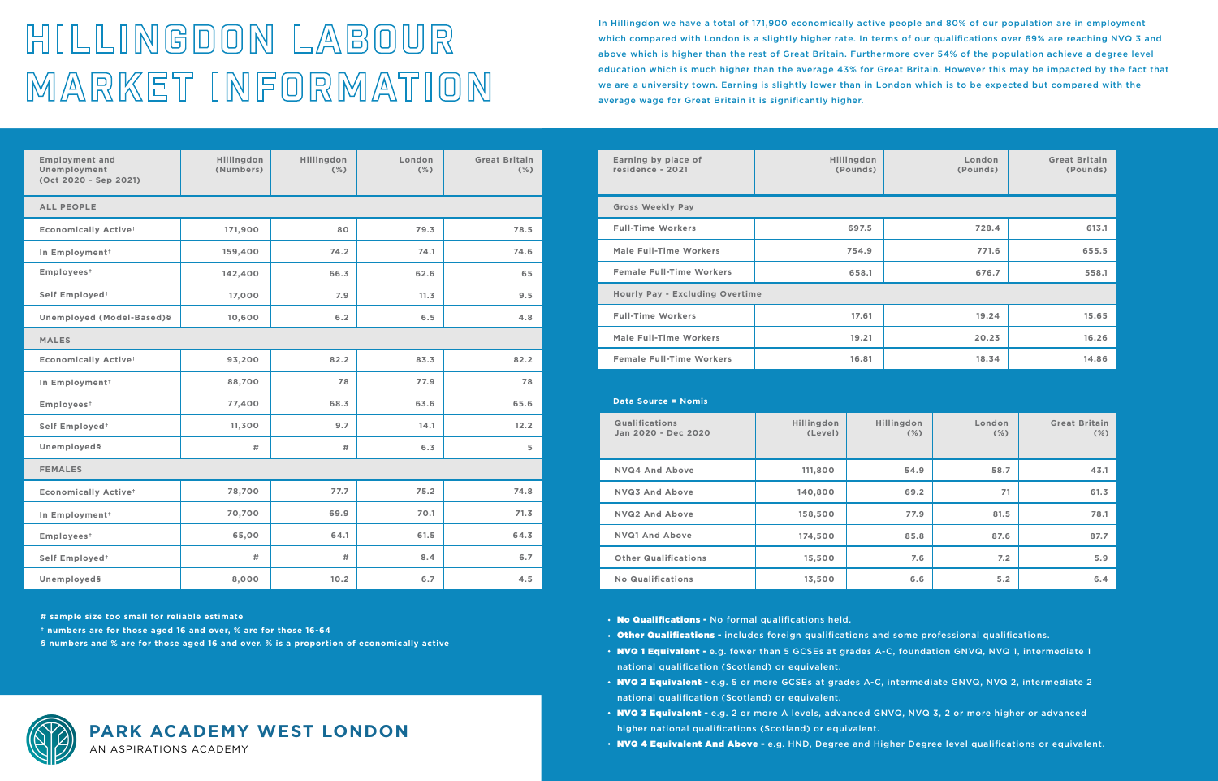## **PARK ACADEMY WEST LONDON** AN ASPIRATIONS ACADEMY

| <b>Employment and</b><br>Unemployment<br>(Oct 2020 - Sep 2021) | Hillingdon<br>(Numbers) | Hillingdon<br>(% ) | London<br>(% ) | <b>Great Britain</b><br>$(\%)$ |  |  |  |  |  |
|----------------------------------------------------------------|-------------------------|--------------------|----------------|--------------------------------|--|--|--|--|--|
| <b>ALL PEOPLE</b>                                              |                         |                    |                |                                |  |  |  |  |  |
| <b>Economically Activet</b>                                    | 171,900                 | 80                 | 79.3           | 78.5                           |  |  |  |  |  |
| In Employment <sup>+</sup>                                     | 159,400                 | 74.2               | 74.1           | 74.6                           |  |  |  |  |  |
| Employees <sup>+</sup>                                         | 142,400                 | 66.3               | 62.6           | 65                             |  |  |  |  |  |
| Self Employed <sup>+</sup>                                     | 17,000                  | 7.9                | 11.3           | 9.5                            |  |  |  |  |  |
| Unemployed (Model-Based)§                                      | 10,600                  | 6.2                | 6.5            | 4.8                            |  |  |  |  |  |
| <b>MALES</b>                                                   |                         |                    |                |                                |  |  |  |  |  |
| <b>Economically Activet</b>                                    | 93,200                  | 82.2               | 83.3           | 82.2                           |  |  |  |  |  |
| In Employment <sup>+</sup>                                     | 88,700                  | 78                 | 77.9           | 78                             |  |  |  |  |  |
| Employees <sup>+</sup>                                         | 77,400                  | 68.3               | 63.6           | 65.6                           |  |  |  |  |  |
| Self Employed <sup>+</sup>                                     | 11,300                  | 9.7                | 14.1           | 12.2                           |  |  |  |  |  |
| Unemployeds                                                    | #                       | #                  | 6.3            | 5                              |  |  |  |  |  |
| <b>FEMALES</b>                                                 |                         |                    |                |                                |  |  |  |  |  |
| <b>Economically Activet</b>                                    | 78,700                  | 77.7               | 75.2           | 74.8                           |  |  |  |  |  |
| In Employment <sup>+</sup>                                     | 70,700                  | 69.9               | 70.1           | 71.3                           |  |  |  |  |  |
| Employees <sup>+</sup>                                         | 65,00                   | 64.1               | 61.5           | 64.3                           |  |  |  |  |  |
| Self Employed <sup>+</sup>                                     | #                       | #                  | 8.4            | 6.7                            |  |  |  |  |  |
| Unemployed§                                                    | 8,000                   | 10.2               | 6.7            | 4.5                            |  |  |  |  |  |

| Data Source = Nomis                          |                       |                       |                  |                                |
|----------------------------------------------|-----------------------|-----------------------|------------------|--------------------------------|
| <b>Qualifications</b><br>Jan 2020 - Dec 2020 | Hillingdon<br>(Level) | Hillingdon<br>$(\% )$ | London<br>$(\%)$ | <b>Great Britain</b><br>$(\%)$ |
| <b>NVQ4 And Above</b>                        | 111,800               | 54.9                  | 58.7             | 43.1                           |
| <b>NVQ3 And Above</b>                        | 140,800               | 69.2                  | 71               | 61.3                           |
| <b>NVQ2 And Above</b>                        | 158,500               | 77.9                  | 81.5             | 78.1                           |
| <b>NVQ1 And Above</b>                        | 174,500               | 85.8                  | 87.6             | 87.7                           |
| <b>Other Qualifications</b>                  | 15,500                | 7.6                   | 7.2              | 5.9                            |
| <b>No Qualifications</b>                     | 13,500                | 6.6                   | 5.2              | 6.4                            |

- . No Qualifications No formal qualifications held.
- Other Qualifications includes foreign qualifications and some professional qualifications.
- NVQ 1 Equivalent e.g. fewer than 5 GCSEs at grades A-C, foundation GNVQ, NVQ 1, intermediate 1 national qualification (Scotland) or equivalent.
- . NVQ 2 Equivalent e.g. 5 or more GCSEs at grades A-C, intermediate GNVQ, NVQ 2, intermediate 2 national qualification (Scotland) or equivalent.
- NVQ 3 Equivalent e.g. 2 or more A levels, advanced GNVQ, NVQ 3, 2 or more higher or advanced higher national qualifications (Scotland) or equivalent.
- . NVQ 4 Equivalent And Above e.g. HND, Degree and Higher Degree level qualifications or equivalent.

**# sample size too small for reliable estimate**

**† numbers are for those aged 16 and over, % are for those 16-64**

**§ numbers and % are for those aged 16 and over. % is a proportion of economically active**



## HILLINGDON LABOUR MARKET INFORMATION

In Hillingdon we have a total of 171,900 economically active people and 80% of our population are in employment which compared with London is a slightly higher rate. In terms of our qualifications over 69% are reaching NVQ 3 and above which is higher than the rest of Great Britain. Furthermore over 54% of the population achieve a degree level education which is much higher than the average 43% for Great Britain. However this may be impacted by the fact that we are a university town. Earning is slightly lower than in London which is to be expected but compared with the average wage for Great Britain it is significantly higher.

| Earning by place of<br>residence - 2021 | Hillingdon<br>(Pounds) | London<br>(Pounds) | <b>Great Britain</b><br>(Pounds) |  |  |  |  |  |
|-----------------------------------------|------------------------|--------------------|----------------------------------|--|--|--|--|--|
| <b>Gross Weekly Pay</b>                 |                        |                    |                                  |  |  |  |  |  |
| <b>Full-Time Workers</b>                | 697.5                  | 728.4              | 613.1                            |  |  |  |  |  |
| Male Full-Time Workers                  | 754.9                  | 771.6              | 655.5                            |  |  |  |  |  |
| <b>Female Full-Time Workers</b>         | 658.1                  | 676.7              | 558.1                            |  |  |  |  |  |
| <b>Hourly Pay - Excluding Overtime</b>  |                        |                    |                                  |  |  |  |  |  |
| <b>Full-Time Workers</b>                | 17.61                  | 19.24              | 15.65                            |  |  |  |  |  |
| Male Full-Time Workers                  | 19.21                  | 20.23              | 16.26                            |  |  |  |  |  |
| <b>Female Full-Time Workers</b>         | 16.81                  | 18.34              | 14.86                            |  |  |  |  |  |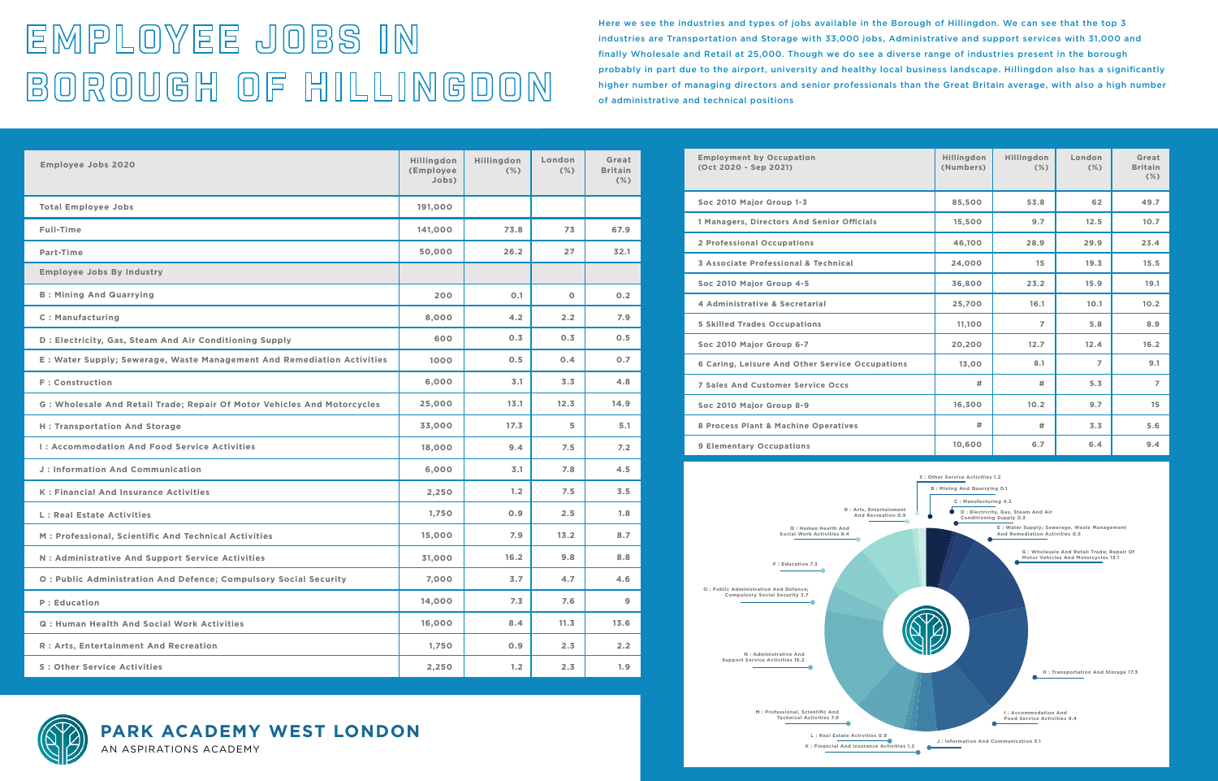**PARK ACADEMY WEST LONDON** AN ASPIRATIONS ACADEMY

## EMPLOYEE JOBS IN BOROUGH OF HILLINGDON

Here we see the industries and types of jobs available in the Borough of Hillingdon. We can see that the top 3 industries are Transportation and Storage with 33,000 jobs, Administrative and support services with 31,000 and finally Wholesale and Retail at 25,000. Though we do see a diverse range of industries present in the borough probably in part due to the airport, university and healthy local business landscape. Hillingdon also has a significantly higher number of managing directors and senior professionals than the Great Britain average, with also a high number of administrative and technical positions

| <b>Employee Jobs 2020</b>                                               | Hillingdon<br>(Employee<br>Jobs) | Hillingdon<br>$(\%)$ | London<br>$(\%)$ | Great<br><b>Britain</b><br>$(\%)$ | <b>Employment by Occupation</b><br>(Oct 2020 - Sep 2021)                 | Hillingdon<br>(Numbers)          | Hillingdon<br>$(\%)$                                                          | London<br>$(\%)$                                                                 | Great<br><b>Britain</b><br>$(\%)$ |  |
|-------------------------------------------------------------------------|----------------------------------|----------------------|------------------|-----------------------------------|--------------------------------------------------------------------------|----------------------------------|-------------------------------------------------------------------------------|----------------------------------------------------------------------------------|-----------------------------------|--|
| <b>Total Employee Jobs</b>                                              | 191,000                          |                      |                  |                                   | Soc 2010 Major Group 1-3                                                 | 85,500                           | 53.8                                                                          | 62                                                                               | 49.7                              |  |
| Full-Time                                                               | 141,000                          | 73.8                 | 73               | 67.9                              | 1 Managers, Directors And Senior Officials                               | 15,500                           | 9.7                                                                           | 12.5                                                                             | 10.7                              |  |
| Part-Time                                                               | 50,000                           | 26.2                 | 27               | 32.1                              | 2 Professional Occupations                                               | 46,100                           | 28.9                                                                          | 29.9                                                                             | 23.4                              |  |
| <b>Employee Jobs By Industry</b>                                        |                                  |                      |                  |                                   | 3 Associate Professional & Technical                                     | 24,000                           | 15                                                                            | 19.3                                                                             | 15.5                              |  |
| <b>B: Mining And Quarrying</b>                                          | 200                              | O.1                  | $\circ$          | 0.2                               | Soc 2010 Major Group 4-5                                                 | 36,800                           | 23.2                                                                          | 15.9                                                                             | 19.1                              |  |
|                                                                         |                                  |                      |                  |                                   | 4 Administrative & Secretarial                                           | 25,700                           | 16.1                                                                          | 10.1                                                                             | 10.2                              |  |
| <b>C</b> : Manufacturing                                                | 8,000                            | 4.2                  | 2.2              | 7.9                               | <b>5 Skilled Trades Occupations</b>                                      | 11,100                           | $\overline{7}$                                                                | 5.8                                                                              | 8.9                               |  |
| D : Electricity, Gas, Steam And Air Conditioning Supply                 | 600                              | 0.3                  | 0.3              | 0.5                               | Soc 2010 Major Group 6-7                                                 | 20,200                           | 12.7                                                                          | 12.4                                                                             | 16.2                              |  |
| E: Water Supply; Sewerage, Waste Management And Remediation Activities  | 1000                             | 0.5                  | 0.4              | 0.7                               | 6 Caring, Leisure And Other Service Occupations                          | 13,00                            | 8.1                                                                           | $\overline{7}$                                                                   | 9.1                               |  |
| F: Construction                                                         | 6,000                            | 3.1                  | 3.3              | 4.8                               | <b>7 Sales And Customer Service Occs</b>                                 | #                                | #                                                                             | 5.3                                                                              | $\overline{7}$                    |  |
| G: Wholesale And Retail Trade; Repair Of Motor Vehicles And Motorcycles | 25,000                           | 13.1                 | 12.3             | 14.9                              | Soc 2010 Major Group 8-9                                                 | 16,300                           | 10.2                                                                          | 9.7                                                                              | 15 <sub>1</sub>                   |  |
| <b>H</b> : Transportation And Storage                                   | 33,000                           | 17.3                 | 5                | 5.1                               | 8 Process Plant & Machine Operatives                                     | #                                | #                                                                             | 3.3                                                                              | 5.6                               |  |
| I: Accommodation And Food Service Activities                            | 18,000                           | 9.4                  | 7.5              | 7.2                               | 9 Elementary Occupations                                                 | 10,600                           | 6.7                                                                           | 6.4                                                                              | 9.4                               |  |
| J: Information And Communication                                        | 6,000                            | 3.1                  | 7.8              | 4.5                               |                                                                          | S : Other Service Activities 1.2 |                                                                               |                                                                                  |                                   |  |
| K : Financial And Insurance Activities                                  | 2,250                            | 1.2                  | 7.5              | 3.5                               | <b>B</b> : Mining And Quarrying 0.1<br>C: Manufacturing 4.2              |                                  |                                                                               |                                                                                  |                                   |  |
| L : Real Estate Activities                                              | 1,750                            | 0.9                  | 2.5              | 1.8                               | R : Arts, Entertainment<br>And Recreation 0.9                            |                                  | D : Electricity, Gas, Steam And Air<br>Conditioning Supply 0.3                |                                                                                  |                                   |  |
| M : Professional, Scientific And Technical Activities                   | 15,000                           | 7.9                  | 13.2             | 8.7                               | Q : Human Health And<br>Social Work Activities 8.4                       |                                  | E: Water Supply; Sewerage, Waste Management<br>And Remediation Activities 0.5 |                                                                                  |                                   |  |
| N: Administrative And Support Service Activities                        | 31,000                           | 16.2                 | 9.8              | 8.8                               | P: Education 7.3                                                         |                                  |                                                                               | G : Wholesale And Retail Trade; Repair Of<br>Motor Vehicles And Motorcycles 13.1 |                                   |  |
| O: Public Administration And Defence; Compulsory Social Security        | 7,000                            | 3.7                  | 4.7              | 4.6                               |                                                                          |                                  |                                                                               |                                                                                  |                                   |  |
| P: Education                                                            | 14,000                           | 7.3                  | 7.6              | 9                                 | O : Public Administration And Defence;<br>Compulsory Social Security 3.7 |                                  |                                                                               |                                                                                  |                                   |  |
| Q: Human Health And Social Work Activities                              | 16,000                           | 8.4                  | 11.3             | 13.6                              |                                                                          |                                  |                                                                               |                                                                                  |                                   |  |
| R : Arts, Entertainment And Recreation                                  | 1,750                            | 0.9                  | 2.3              | 2.2                               | N: Administrative And                                                    |                                  |                                                                               |                                                                                  |                                   |  |
| <b>S: Other Service Activities</b>                                      | 2,250                            | 1.2                  | 2.3              | 1.9                               | Support Service Activities 16.2                                          |                                  |                                                                               | H: Transportation And Storage 17.3                                               |                                   |  |





**M : Professional, Scientific And Technical Activities 7.9**